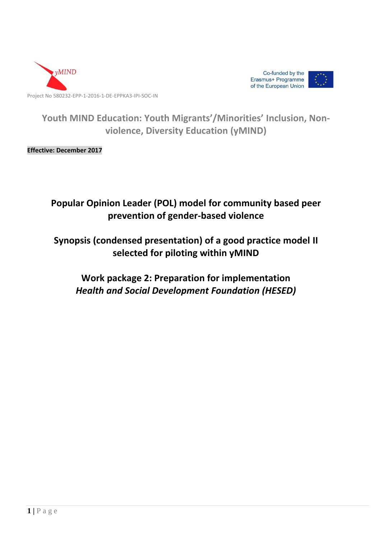



**Youth MIND Education: Youth Migrants'/Minorities' Inclusion, Nonviolence, Diversity Education (yMIND)**

**Effective: December 2017**

# **Popular Opinion Leader (POL) model for community based peer prevention of gender-based violence**

# **Synopsis (condensed presentation) of a good practice model II selected for piloting within yMIND**

**Work package 2: Preparation for implementation** *Health and Social Development Foundation (HESED)*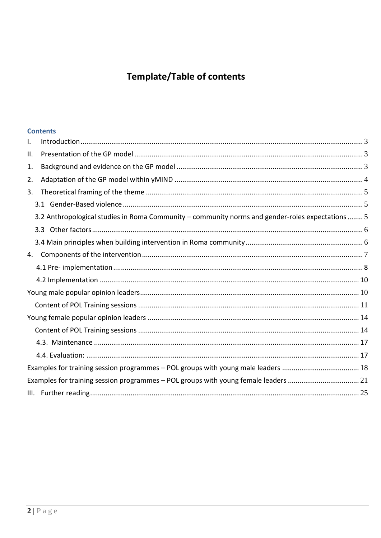# Template/Table of contents

# **Contents**

| I. |                                                                                                  |  |
|----|--------------------------------------------------------------------------------------------------|--|
| Ш. |                                                                                                  |  |
| 1. |                                                                                                  |  |
| 2. |                                                                                                  |  |
| 3. |                                                                                                  |  |
|    |                                                                                                  |  |
|    | 3.2 Anthropological studies in Roma Community - community norms and gender-roles expectations  5 |  |
|    |                                                                                                  |  |
|    |                                                                                                  |  |
| 4. |                                                                                                  |  |
|    |                                                                                                  |  |
|    |                                                                                                  |  |
|    |                                                                                                  |  |
|    |                                                                                                  |  |
|    |                                                                                                  |  |
|    |                                                                                                  |  |
|    |                                                                                                  |  |
|    |                                                                                                  |  |
|    | Examples for training session programmes - POL groups with young male leaders  18                |  |
|    | Examples for training session programmes - POL groups with young female leaders 21               |  |
|    |                                                                                                  |  |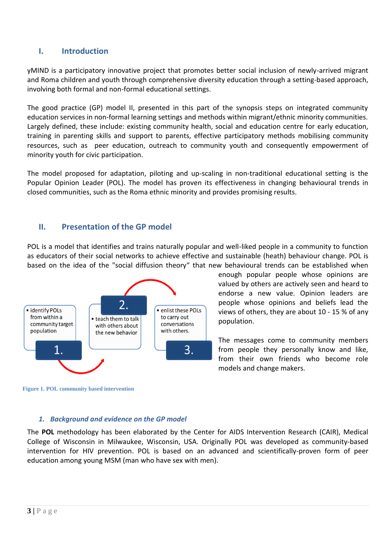# <span id="page-2-0"></span>**I. Introduction**

yMIND is a participatory innovative project that promotes better social inclusion of newly-arrived migrant and Roma children and youth through comprehensive diversity education through a setting-based approach, involving both formal and non-formal educational settings.

The good practice (GP) model II, presented in this part of the synopsis steps on integrated community education services in non-formal learning settings and methods within migrant/ethnic minority communities. Largely defined, these include: existing community health, social and education centre for early education, training in parenting skills and support to parents, effective participatory methods mobilising community resources, such as peer education, outreach to community youth and consequently empowerment of minority youth for civic participation.

The model proposed for adaptation, piloting and up-scaling in non-traditional educational setting is the Popular Opinion Leader (POL). The model has proven its effectiveness in changing behavioural trends in closed communities, such as the Roma ethnic minority and provides promising results.

# <span id="page-2-1"></span>**II. Presentation of the GP model**

POL is a model that identifies and trains naturally popular and well-liked people in a community to function as educators of their social networks to achieve effective and sustainable (heath) behaviour change. POL is based on the idea of the "social diffusion theory" that new behavioural trends can be established when



enough popular people whose opinions are valued by others are actively seen and heard to endorse a new value. Opinion leaders are people whose opinions and beliefs lead the views of others, they are about 10 - 15 % of any population.

The messages come to community members from people they personally know and like, from their own friends who become role models and change makers.

<span id="page-2-2"></span>**Figure 1. POL community based intervention** 

#### *1. Background and evidence on the GP model*

The **POL** methodology has been elaborated by the Center for AIDS Intervention Research (CAIR), Medical College of Wisconsin in Milwaukee, Wisconsin, USA. Originally POL was developed as community-based intervention for HIV prevention. POL is based on an advanced and scientifically-proven form of peer education among young MSM (man who have sex with men).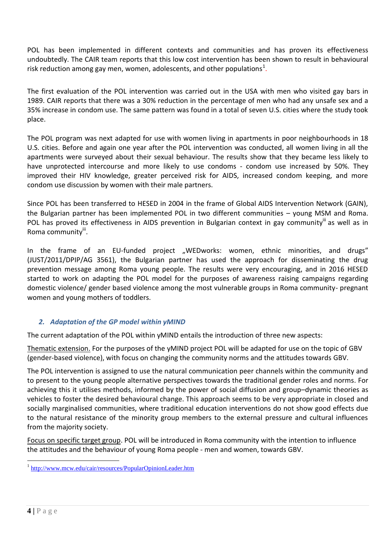POL has been implemented in different contexts and communities and has proven its effectiveness undoubtedly. The CAIR team reports that this low cost intervention has been shown to result in behavioural risk reduction among gay men, women, adolescents, and other populations<sup>1</sup>.

The first evaluation of the POL intervention was carried out in the USA with men who visited gay bars in 1989. CAIR reports that there was a 30% reduction in the percentage of men who had any unsafe sex and a 35% increase in condom use. The same pattern was found in a total of seven U.S. cities where the study took place.

The POL program was next adapted for use with women living in apartments in poor neighbourhoods in 18 U.S. cities. Before and again one year after the POL intervention was conducted, all women living in all the apartments were surveyed about their sexual behaviour. The results show that they became less likely to have unprotected intercourse and more likely to use condoms - condom use increased by 50%. They improved their HIV knowledge, greater perceived risk for AIDS, increased condom keeping, and more condom use discussion by women with their male partners.

Since POL has been transferred to HESED in 2004 in the frame of Global AIDS Intervention Network (GAIN), the Bulgarian partner has been implemented POL in two different communities – young MSM and Roma. POL has proved its effectiveness in AIDS prevention in Bulgarian context in gay community<sup>iii</sup> as well as in Roma community<sup>iii</sup>.

In the frame of an EU-funded project "WEDworks: women, ethnic minorities, and drugs" (JUST/2011/DPIP/AG 3561), the Bulgarian partner has used the approach for disseminating the drug prevention message among Roma young people. The results were very encouraging, and in 2016 HESED started to work on adapting the POL model for the purposes of awareness raising campaigns regarding domestic violence/ gender based violence among the most vulnerable groups in Roma community- pregnant women and young mothers of toddlers.

# <span id="page-3-0"></span>*2. Adaptation of the GP model within yMIND*

The current adaptation of the POL within yMIND entails the introduction of three new aspects:

Thematic extension. For the purposes of the yMIND project POL will be adapted for use on the topic of GBV (gender-based violence), with focus on changing the community norms and the attitudes towards GBV.

The POL intervention is assigned to use the natural communication peer channels within the community and to present to the young people alternative perspectives towards the traditional gender roles and norms. For achieving this it utilises methods, informed by the power of social diffusion and group–dynamic theories as vehicles to foster the desired behavioural change. This approach seems to be very appropriate in closed and socially marginalised communities, where traditional education interventions do not show good effects due to the natural resistance of the minority group members to the external pressure and cultural influences from the majority society.

Focus on specific target group. POL will be introduced in Roma community with the intention to influence the attitudes and the behaviour of young Roma people - men and women, towards GBV.

 $\overline{a}$ 

<sup>&</sup>lt;sup>1</sup> <http://www.mcw.edu/cair/resources/PopularOpinionLeader.htm>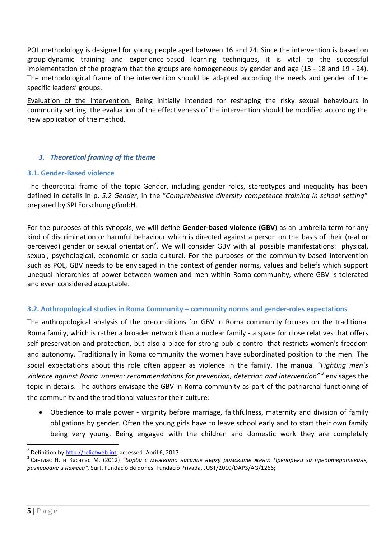POL methodology is designed for young people aged between 16 and 24. Since the intervention is based on group-dynamic training and experience-based learning techniques, it is vital to the successful implementation of the program that the groups are homogeneous by gender and age (15 - 18 and 19 - 24). The methodological frame of the intervention should be adapted according the needs and gender of the specific leaders' groups.

Evaluation of the intervention. Being initially intended for reshaping the risky sexual behaviours in community setting, the evaluation of the effectiveness of the intervention should be modified according the new application of the method.

# <span id="page-4-0"></span>*3. Theoretical framing of the theme*

#### <span id="page-4-1"></span>**3.1. Gender-Based violence**

The theoretical frame of the topic Gender, including gender roles, stereotypes and inequality has been defined in details in p. *5.2 Gender*, in the "*Comprehensive diversity competence training in school setting*" prepared by SPI Forschung gGmbH.

For the purposes of this synopsis, we will define **Gender-based violence (GBV**) as an umbrella term for any kind of discrimination or harmful behaviour which is directed against a person on the basis of their (real or perceived) gender or sexual orientation<sup>2</sup>. We will consider GBV with all possible manifestations: physical, sexual, psychological, economic or socio-cultural. For the purposes of the community based intervention such as POL, GBV needs to be envisaged in the context of gender norms, values and beliefs which support unequal hierarchies of power between women and men within Roma community, where GBV is tolerated and even considered acceptable.

#### <span id="page-4-2"></span>**3.2. Anthropological studies in Roma Community – community norms and gender-roles expectations**

The anthropological analysis of the preconditions for GBV in Roma community focuses on the traditional Roma family, which is rather a broader network than a nuclear family - a space for close relatives that offers self-preservation and protection, but also a place for strong public control that restricts women's freedom and autonomy. Traditionally in Roma community the women have subordinated position to the men. The social expectations about this role often appear as violence in the family. The manual *"Fighting men`s violence against Roma women: recommendations for prevention, detection and intervention"* <sup>3</sup> envisages the topic in details. The authors envisage the GBV in Roma community as part of the patriarchal functioning of the community and the traditional values for their culture:

 Obedience to male power - virginity before marriage, faithfulness, maternity and division of family obligations by gender. Often the young girls have to leave school early and to start their own family being very young. Being engaged with the children and domestic work they are completely

 $\overline{a}$ 

<sup>&</sup>lt;sup>2</sup> Definition by [http://reliefweb.int,](http://reliefweb.int/) accessed: April 6, 2017

<sup>&</sup>lt;sup>3</sup> Санглас Н. и Касалас М. (2012) *"Борба с мъжкото насилие върху ромските жени: Препоръки за предотвратяване, разкриване и намеса",* Surt. Fundació de dones. Fundació Privada, JUST/2010/DAP3/AG/1266;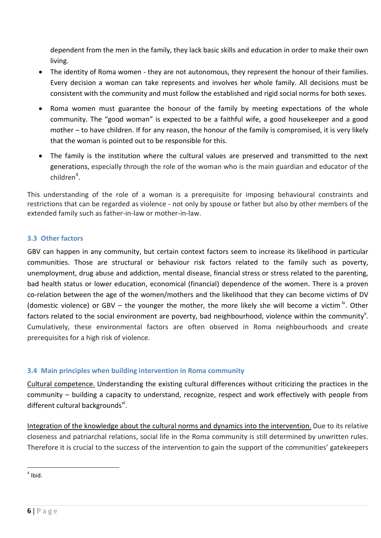dependent from the men in the family, they lack basic skills and education in order to make their own living.

- The identity of Roma women they are not autonomous, they represent the honour of their families. Every decision a woman can take represents and involves her whole family. All decisions must be consistent with the community and must follow the established and rigid social norms for both sexes.
- Roma women must guarantee the honour of the family by meeting expectations of the whole community. The "good woman" is expected to be a faithful wife, a good housekeeper and a good mother – to have children. If for any reason, the honour of the family is compromised, it is very likely that the woman is pointed out to be responsible for this.
- The family is the institution where the cultural values are preserved and transmitted to the next generations, especially through the role of the woman who is the main guardian and educator of the  $children<sup>4</sup>$ .

This understanding of the role of a woman is a prerequisite for imposing behavioural constraints and restrictions that can be regarded as violence - not only by spouse or father but also by other members of the extended family such as father-in-law or mother-in-law.

# <span id="page-5-0"></span>**3.3 Other factors**

GBV can happen in any community, but certain context factors seem to increase its likelihood in particular communities. Those are structural or behaviour risk factors related to the family such as poverty, unemployment, drug abuse and addiction, mental disease, financial stress or stress related to the parenting, bad health status or lower education, economical (financial) dependence of the women. There is a proven co-relation between the age of the women/mothers and the likelihood that they can become victims of DV (domestic violence) or GBV – the younger the mother, the more likely she will become a victim  $i<sup>v</sup>$ . Other factors related to the social environment are poverty, bad neighbourhood, violence within the community<sup>v</sup>. Cumulatively, these environmental factors are often observed in Roma neighbourhoods and create prerequisites for a high risk of violence.

# <span id="page-5-1"></span>**3.4 Main principles when building intervention in Roma community**

Cultural competence. Understanding the existing cultural differences without criticizing the practices in the community – building a capacity to understand, recognize, respect and work effectively with people from different cultural backgrounds<sup>vi</sup>.

Integration of the knowledge about the cultural norms and dynamics into the intervention. Due to its relative closeness and patriarchal relations, social life in the Roma community is still determined by unwritten rules. Therefore it is crucial to the success of the intervention to gain the support of the communities' gatekeepers

 $\overline{a}$  $<sup>4</sup>$  Ibid.</sup>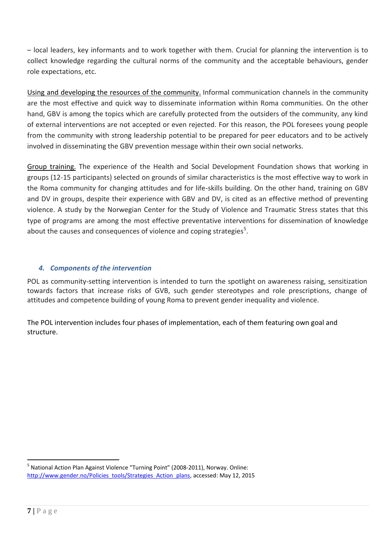– local leaders, key informants and to work together with them. Crucial for planning the intervention is to collect knowledge regarding the cultural norms of the community and the acceptable behaviours, gender role expectations, etc.

Using and developing the resources of the community. Informal communication channels in the community are the most effective and quick way to disseminate information within Roma communities. On the other hand, GBV is among the topics which are carefully protected from the outsiders of the community, any kind of external interventions are not accepted or even rejected. For this reason, the POL foresees young people from the community with strong leadership potential to be prepared for peer educators and to be actively involved in disseminating the GBV prevention message within their own social networks.

Group training. The experience of the Health and Social Development Foundation shows that working in groups (12-15 participants) selected on grounds of similar characteristics is the most effective way to work in the Roma community for changing attitudes and for life-skills building. On the other hand, training on GBV and DV in groups, despite their experience with GBV and DV, is cited as an effective method of preventing violence. A study by the Norwegian Center for the Study of Violence and Traumatic Stress states that this type of programs are among the most effective preventative interventions for dissemination of knowledge about the causes and consequences of violence and coping strategies<sup>5</sup>.

# <span id="page-6-0"></span>*4. Components of the intervention*

POL as community-setting intervention is intended to turn the spotlight on awareness raising, sensitization towards factors that increase risks of GVB, such gender stereotypes and role prescriptions, change of attitudes and competence building of young Roma to prevent gender inequality and violence.

The POL intervention includes four phases of implementation, each of them featuring own goal and structure.

 $\overline{a}$ 

<sup>&</sup>lt;sup>5</sup> National Action Plan Against Violence "Turning Point" (2008-2011), Norway. Online: [http://www.gender.no/Policies\\_tools/Strategies\\_Action\\_plans,](http://www.gender.no/Policies_tools/Strategies_Action_plans) accessed: May 12, 2015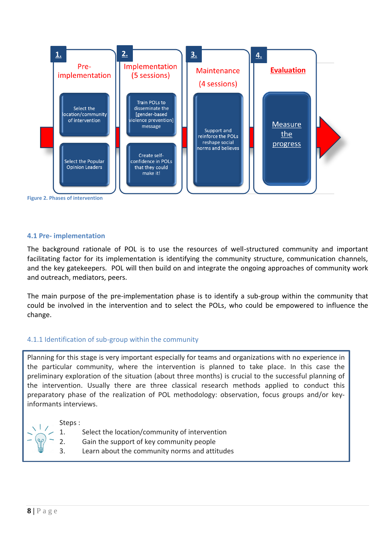

<span id="page-7-0"></span>**4.1 Pre- implementation** 

The background rationale of POL is to use the resources of well-structured community and important facilitating factor for its implementation is identifying the community structure, communication channels, and the key gatekeepers. POL will then build on and integrate the ongoing approaches of community work and outreach, mediators, peers.

The main purpose of the pre-implementation phase is to identify a sub-group within the community that could be involved in the intervention and to select the POLs, who could be empowered to influence the change.

# 4.1.1 Identification of sub-group within the community

Planning for this stage is very important especially for teams and organizations with no experience in the particular community, where the intervention is planned to take place. In this case the preliminary exploration of the situation (about three months) is crucial to the successful planning of the intervention. Usually there are three classical research methods applied to conduct this preparatory phase of the realization of POL methodology: observation, focus groups and/or keyinformants interviews.

Steps :

1. Select the location/community of intervention

- 2. Gain the support of key community people
- 3. Learn about the community norms and attitudes

 $\frac{1}{2}$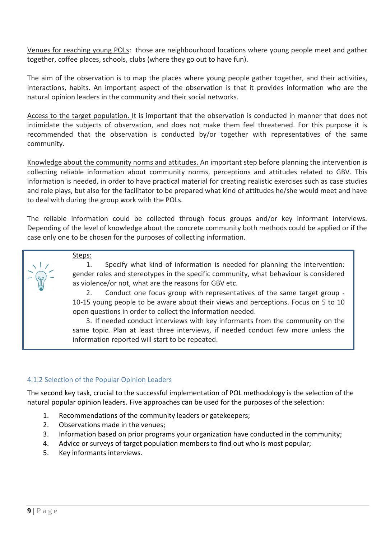Venues for reaching young POLs: those are neighbourhood locations where young people meet and gather together, coffee places, schools, clubs (where they go out to have fun).

The aim of the observation is to map the places where young people gather together, and their activities, interactions, habits. An important aspect of the observation is that it provides information who are the natural opinion leaders in the community and their social networks.

Access to the target population. It is important that the observation is conducted in manner that does not intimidate the subjects of observation, and does not make them feel threatened. For this purpose it is recommended that the observation is conducted by/or together with representatives of the same community.

Knowledge about the community norms and attitudes. An important step before planning the intervention is collecting reliable information about community norms, perceptions and attitudes related to GBV. This information is needed, in order to have practical material for creating realistic exercises such as case studies and role plays, but also for the facilitator to be prepared what kind of attitudes he/she would meet and have to deal with during the group work with the POLs.

The reliable information could be collected through focus groups and/or key informant interviews. Depending of the level of knowledge about the concrete community both methods could be applied or if the case only one to be chosen for the purposes of collecting information.

#### Steps:

1. Specify what kind of information is needed for planning the intervention: gender roles and stereotypes in the specific community, what behaviour is considered as violence/or not, what are the reasons for GBV etc.

2. Conduct one focus group with representatives of the same target group - 10-15 young people to be aware about their views and perceptions. Focus on 5 to 10 open questions in order to collect the information needed.

3. If needed conduct interviews with key informants from the community on the same topic. Plan at least three interviews, if needed conduct few more unless the information reported will start to be repeated.

# 4.1.2 Selection of the Popular Opinion Leaders

The second key task, crucial to the successful implementation of POL methodology is the selection of the natural popular opinion leaders. Five approaches can be used for the purposes of the selection:

- 1. Recommendations of the community leaders or gatekeepers;
- 2. Observations made in the venues;
- 3. Information based on prior programs your organization have conducted in the community;
- 4. Advice or surveys of target population members to find out who is most popular;
- 5. Key informants interviews.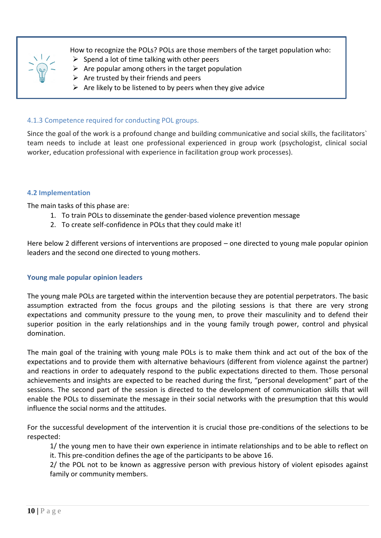

How to recognize the POLs? POLs are those members of the target population who:

- $\triangleright$  Spend a lot of time talking with other peers
- $\triangleright$  Are popular among others in the target population
- $\triangleright$  Are trusted by their friends and peers
- $\triangleright$  Are likely to be listened to by peers when they give advice

# 4.1.3 Competence required for conducting POL groups.

Since the goal of the work is a profound change and building communicative and social skills, the facilitators` team needs to include at least one professional experienced in group work (psychologist, clinical social worker, education professional with experience in facilitation group work processes).

# <span id="page-9-0"></span>**4.2 Implementation**

The main tasks of this phase are:

- 1. To train POLs to disseminate the gender-based violence prevention message
- 2. To create self-confidence in POLs that they could make it!

Here below 2 different versions of interventions are proposed – one directed to young male popular opinion leaders and the second one directed to young mothers.

# <span id="page-9-1"></span>**Young male popular opinion leaders**

The young male POLs are targeted within the intervention because they are potential perpetrators. The basic assumption extracted from the focus groups and the piloting sessions is that there are very strong expectations and community pressure to the young men, to prove their masculinity and to defend their superior position in the early relationships and in the young family trough power, control and physical domination.

The main goal of the training with young male POLs is to make them think and act out of the box of the expectations and to provide them with alternative behaviours (different from violence against the partner) and reactions in order to adequately respond to the public expectations directed to them. Those personal achievements and insights are expected to be reached during the first, "personal development" part of the sessions. The second part of the session is directed to the development of communication skills that will enable the POLs to disseminate the message in their social networks with the presumption that this would influence the social norms and the attitudes.

For the successful development of the intervention it is crucial those pre-conditions of the selections to be respected:

1/ the young men to have their own experience in intimate relationships and to be able to reflect on it. This pre-condition defines the age of the participants to be above 16.

2/ the POL not to be known as aggressive person with previous history of violent episodes against family or community members.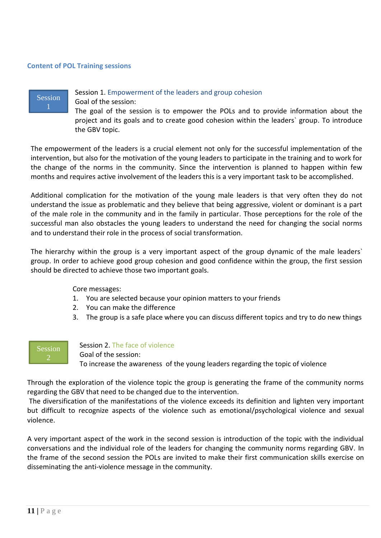#### <span id="page-10-0"></span>**Content of POL Training sessions**



#### Session 1. Empowerment of the leaders and group cohesion

Goal of the session:

The goal of the session is to empower the POLs and to provide information about the project and its goals and to create good cohesion within the leaders` group. To introduce the GBV topic.

The empowerment of the leaders is a crucial element not only for the successful implementation of the intervention, but also for the motivation of the young leaders to participate in the training and to work for the change of the norms in the community. Since the intervention is planned to happen within few months and requires active involvement of the leaders this is a very important task to be accomplished.

Additional complication for the motivation of the young male leaders is that very often they do not understand the issue as problematic and they believe that being aggressive, violent or dominant is a part of the male role in the community and in the family in particular. Those perceptions for the role of the successful man also obstacles the young leaders to understand the need for changing the social norms and to understand their role in the process of social transformation.

The hierarchy within the group is a very important aspect of the group dynamic of the male leaders` group. In order to achieve good group cohesion and good confidence within the group, the first session should be directed to achieve those two important goals.

Core messages:

- 1. You are selected because your opinion matters to your friends
- 2. You can make the difference
- 3. The group is a safe place where you can discuss different topics and try to do new things



Session 2. The face of violence

Goal of the session: To increase the awareness of the young leaders regarding the topic of violence

Through the exploration of the violence topic the group is generating the frame of the community norms regarding the GBV that need to be changed due to the intervention.

The diversification of the manifestations of the violence exceeds its definition and lighten very important but difficult to recognize aspects of the violence such as emotional/psychological violence and sexual violence.

A very important aspect of the work in the second session is introduction of the topic with the individual conversations and the individual role of the leaders for changing the community norms regarding GBV. In the frame of the second session the POLs are invited to make their first communication skills exercise on disseminating the anti-violence message in the community.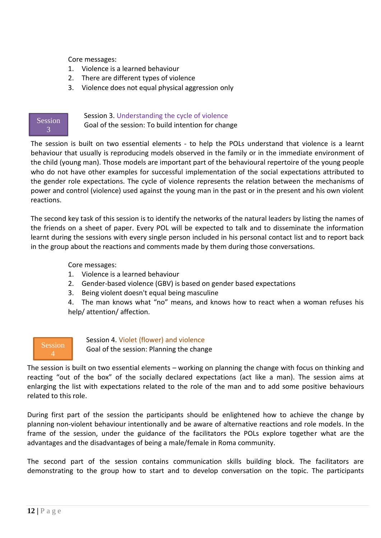Core messages:

- 1. Violence is a learned behaviour
- 2. There are different types of violence
- 3. Violence does not equal physical aggression only



Session 3. Understanding the cycle of violence

Goal of the session: To build intention for change

The session is built on two essential elements - to help the POLs understand that violence is a learnt behaviour that usually is reproducing models observed in the family or in the immediate environment of the child (young man). Those models are important part of the behavioural repertoire of the young people who do not have other examples for successful implementation of the social expectations attributed to the gender role expectations. The cycle of violence represents the relation between the mechanisms of power and control (violence) used against the young man in the past or in the present and his own violent reactions.

The second key task of this session is to identify the networks of the natural leaders by listing the names of the friends on a sheet of paper. Every POL will be expected to talk and to disseminate the information learnt during the sessions with every single person included in his personal contact list and to report back in the group about the reactions and comments made by them during those conversations.

Core messages:

- 1. Violence is a learned behaviour
- 2. Gender-based violence (GBV) is based on gender based expectations
- 3. Being violent doesn't equal being masculine

4. The man knows what "no" means, and knows how to react when a woman refuses his help/ attention/ affection.



Session 4. Violet (flower) and violence

Goal of the session: Planning the change

The session is built on two essential elements – working on planning the change with focus on thinking and reacting "out of the box" of the socially declared expectations (act like a man). The session aims at enlarging the list with expectations related to the role of the man and to add some positive behaviours related to this role.

During first part of the session the participants should be enlightened how to achieve the change by planning non-violent behaviour intentionally and be aware of alternative reactions and role models. In the frame of the session, under the guidance of the facilitators the POLs explore together what are the advantages and the disadvantages of being a male/female in Roma community.

The second part of the session contains communication skills building block. The facilitators are demonstrating to the group how to start and to develop conversation on the topic. The participants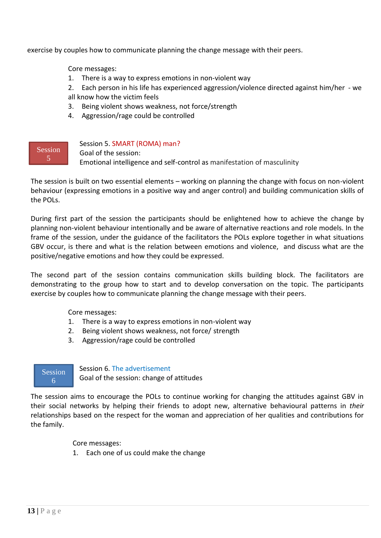exercise by couples how to communicate planning the change message with their peers.

Core messages:

1. There is a way to express emotions in non-violent way

2. Each person in his life has experienced aggression/violence directed against him/her - we all know how the victim feels

- 3. Being violent shows weakness, not force/strength
- 4. Aggression/rage could be controlled



Session 5. SMART (ROMA) man?

Goal of the session: Emotional intelligence and self-control as manifestation of masculinity

The session is built on two essential elements – working on planning the change with focus on non-violent behaviour (expressing emotions in a positive way and anger control) and building communication skills of the POLs.

During first part of the session the participants should be enlightened how to achieve the change by planning non-violent behaviour intentionally and be aware of alternative reactions and role models. In the frame of the session, under the guidance of the facilitators the POLs explore together in what situations GBV occur, is there and what is the relation between emotions and violence, and discuss what are the positive/negative emotions and how they could be expressed.

The second part of the session contains communication skills building block. The facilitators are demonstrating to the group how to start and to develop conversation on the topic. The participants exercise by couples how to communicate planning the change message with their peers.

Core messages:

- 1. There is a way to express emotions in non-violent way
- 2. Being violent shows weakness, not force/ strength
- 3. Aggression/rage could be controlled



Session 6. The advertisement

Goal of the session: change of attitudes

The session aims to encourage the POLs to continue working for changing the attitudes against GBV in their social networks by helping their friends to adopt new, alternative behavioural patterns in *their* relationships based on the respect for the woman and appreciation of her qualities and contributions for the family.

Core messages:

1. Each one of us could make the change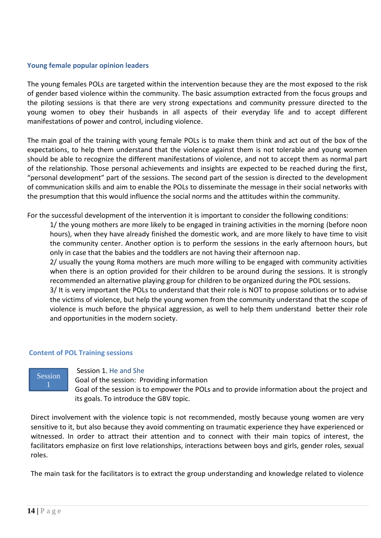#### **Young female popular opinion leaders**

The young females POLs are targeted within the intervention because they are the most exposed to the risk of gender based violence within the community. The basic assumption extracted from the focus groups and the piloting sessions is that there are very strong expectations and community pressure directed to the young women to obey their husbands in all aspects of their everyday life and to accept different manifestations of power and control, including violence.

The main goal of the training with young female POLs is to make them think and act out of the box of the expectations, to help them understand that the violence against them is not tolerable and young women should be able to recognize the different manifestations of violence, and not to accept them as normal part of the relationship. Those personal achievements and insights are expected to be reached during the first, "personal development" part of the sessions. The second part of the session is directed to the development of communication skills and aim to enable the POLs to disseminate the message in their social networks with the presumption that this would influence the social norms and the attitudes within the community.

For the successful development of the intervention it is important to consider the following conditions:

1/ the young mothers are more likely to be engaged in training activities in the morning (before noon hours), when they have already finished the domestic work, and are more likely to have time to visit the community center. Another option is to perform the sessions in the early afternoon hours, but only in case that the babies and the toddlers are not having their afternoon nap.

2/ usually the young Roma mothers are much more willing to be engaged with community activities when there is an option provided for their children to be around during the sessions. It is strongly recommended an alternative playing group for children to be organized during the POL sessions.

3/ It is very important the POLs to understand that their role is NOT to propose solutions or to advise the victims of violence, but help the young women from the community understand that the scope of violence is much before the physical aggression, as well to help them understand better their role and opportunities in the modern society.

# <span id="page-13-0"></span>**Content of POL Training sessions**



#### Session 1. He and She

Goal of the session: Providing information

Goal of the session is to empower the POLs and to provide information about the project and its goals. To introduce the GBV topic.

Direct involvement with the violence topic is not recommended, mostly because young women are very sensitive to it, but also because they avoid commenting on traumatic experience they have experienced or witnessed. In order to attract their attention and to connect with their main topics of interest, the facilitators emphasize on first love relationships, interactions between boys and girls, gender roles, sexual roles.

The main task for the facilitators is to extract the group understanding and knowledge related to violence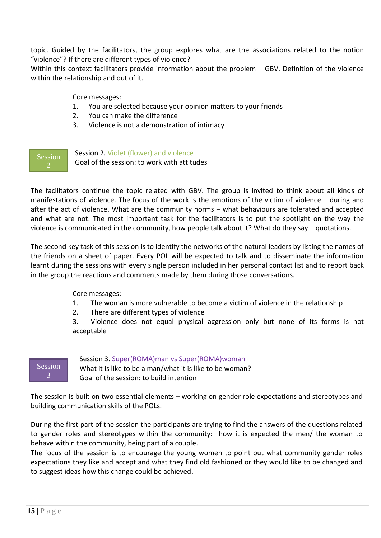topic. Guided by the facilitators, the group explores what are the associations related to the notion "violence"? If there are different types of violence?

Within this context facilitators provide information about the problem – GBV. Definition of the violence within the relationship and out of it.

Core messages:

- 1. You are selected because your opinion matters to your friends
- 2. You can make the difference
- 3. Violence is not a demonstration of intimacy

Session

Session 2. Violet (flower) and violence

Goal of the session: to work with attitudes

The facilitators continue the topic related with GBV. The group is invited to think about all kinds of manifestations of violence. The focus of the work is the emotions of the victim of violence – during and after the act of violence. What are the community norms – what behaviours are tolerated and accepted and what are not. The most important task for the facilitators is to put the spotlight on the way the violence is communicated in the community, how people talk about it? What do they say – quotations.

The second key task of this session is to identify the networks of the natural leaders by listing the names of the friends on a sheet of paper. Every POL will be expected to talk and to disseminate the information learnt during the sessions with every single person included in her personal contact list and to report back in the group the reactions and comments made by them during those conversations.

Core messages:

- 1. The woman is more vulnerable to become a victim of violence in the relationship
- 2. There are different types of violence

3. Violence does not equal physical aggression only but none of its forms is not acceptable



# Session 3. Super(ROMA)man vs Super(ROMA)woman

What it is like to be a man/what it is like to be woman? Goal of the session: to build intention

The session is built on two essential elements – working on gender role expectations and stereotypes and building communication skills of the POLs.

During the first part of the session the participants are trying to find the answers of the questions related to gender roles and stereotypes within the community: how it is expected the men/ the woman to behave within the community, being part of a couple.

The focus of the session is to encourage the young women to point out what community gender roles expectations they like and accept and what they find old fashioned or they would like to be changed and to suggest ideas how this change could be achieved.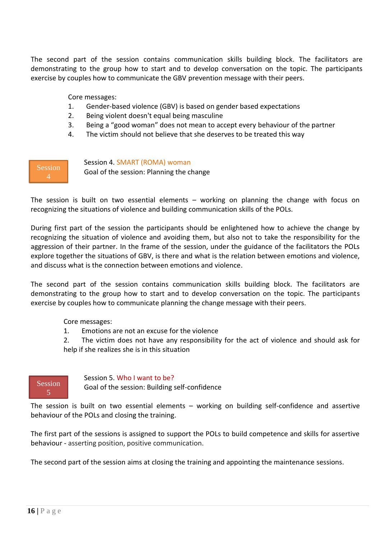The second part of the session contains communication skills building block. The facilitators are demonstrating to the group how to start and to develop conversation on the topic. The participants exercise by couples how to communicate the GBV prevention message with their peers.

Core messages:

- 1. Gender-based violence (GBV) is based on gender based expectations
- 2. Being violent doesn't equal being masculine
- 3. Being a "good woman" does not mean to accept every behaviour of the partner
- 4. The victim should not believe that she deserves to be treated this way

**Session** 

Session 4. SMART (ROMA) woman

Goal of the session: Planning the change

The session is built on two essential elements – working on planning the change with focus on recognizing the situations of violence and building communication skills of the POLs.

During first part of the session the participants should be enlightened how to achieve the change by recognizing the situation of violence and avoiding them, but also not to take the responsibility for the aggression of their partner. In the frame of the session, under the guidance of the facilitators the POLs explore together the situations of GBV, is there and what is the relation between emotions and violence, and discuss what is the connection between emotions and violence.

The second part of the session contains communication skills building block. The facilitators are demonstrating to the group how to start and to develop conversation on the topic. The participants exercise by couples how to communicate planning the change message with their peers.

Core messages:

1. Emotions are not an excuse for the violence

2. The victim does not have any responsibility for the act of violence and should ask for help if she realizes she is in this situation



#### Session 5. Who I want to be?

Goal of the session: Building self-confidence

The session is built on two essential elements – working on building self-confidence and assertive behaviour of the POLs and closing the training.

The first part of the sessions is assigned to support the POLs to build competence and skills for assertive behaviour - asserting position, positive communication.

The second part of the session aims at closing the training and appointing the maintenance sessions.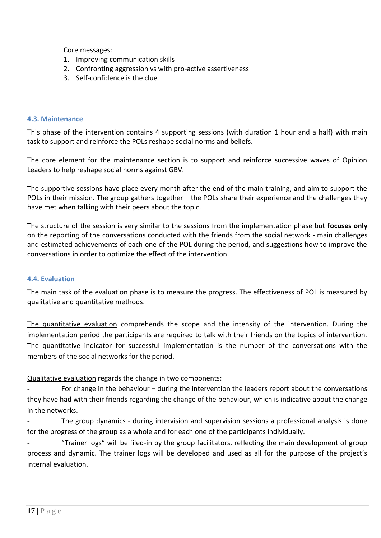Core messages:

- 1. Improving communication skills
- 2. Confronting aggression vs with pro-active assertiveness
- 3. Self-confidence is the clue

#### <span id="page-16-0"></span>**4.3. Maintenance**

This phase of the intervention contains 4 supporting sessions (with duration 1 hour and a half) with main task to support and reinforce the POLs reshape social norms and beliefs.

The core element for the maintenance section is to support and reinforce successive waves of Opinion Leaders to help reshape social norms against GBV.

The supportive sessions have place every month after the end of the main training, and aim to support the POLs in their mission. The group gathers together – the POLs share their experience and the challenges they have met when talking with their peers about the topic.

The structure of the session is very similar to the sessions from the implementation phase but **focuses only** on the reporting of the conversations conducted with the friends from the social network - main challenges and estimated achievements of each one of the POL during the period, and suggestions how to improve the conversations in order to optimize the effect of the intervention.

# <span id="page-16-1"></span>**4.4. Evaluation**

The main task of the evaluation phase is to measure the progress. The effectiveness of POL is measured by qualitative and quantitative methods.

The quantitative evaluation comprehends the scope and the intensity of the intervention. During the implementation period the participants are required to talk with their friends on the topics of intervention. The quantitative indicator for successful implementation is the number of the conversations with the members of the social networks for the period.

# Qualitative evaluation regards the change in two components:

For change in the behaviour - during the intervention the leaders report about the conversations they have had with their friends regarding the change of the behaviour, which is indicative about the change in the networks.

The group dynamics - during intervision and supervision sessions a professional analysis is done for the progress of the group as a whole and for each one of the participants individually.

"Trainer logs" will be filed-in by the group facilitators, reflecting the main development of group process and dynamic. The trainer logs will be developed and used as all for the purpose of the project's internal evaluation.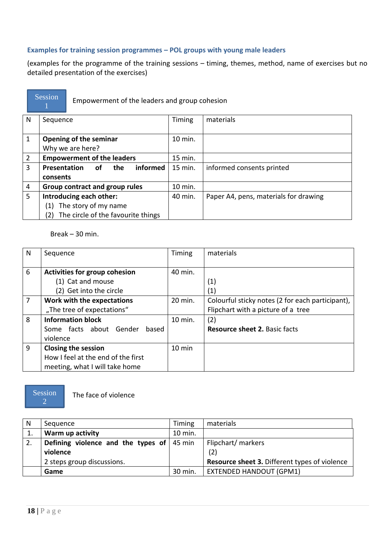# <span id="page-17-0"></span>**Examples for training session programmes – POL groups with young male leaders**

(examples for the programme of the training sessions – timing, themes, method, name of exercises but no detailed presentation of the exercises)



Empowerment of the leaders and group cohesion

| N              | Sequence                                            | Timing  | materials                             |
|----------------|-----------------------------------------------------|---------|---------------------------------------|
|                |                                                     |         |                                       |
| 1              | Opening of the seminar                              | 10 min. |                                       |
|                | Why we are here?                                    |         |                                       |
| $\overline{2}$ | <b>Empowerment of the leaders</b>                   | 15 min. |                                       |
| 3              | <b>Presentation</b><br><b>informed</b><br>οf<br>the | 15 min. | informed consents printed             |
|                | consents                                            |         |                                       |
| 4              | Group contract and group rules                      | 10 min. |                                       |
| 5              | Introducing each other:                             | 40 min. | Paper A4, pens, materials for drawing |
|                | The story of my name<br>$\left( 1\right)$           |         |                                       |
|                | The circle of the favourite things<br>'2)           |         |                                       |

Break – 30 min.

| N | Sequence                           | Timing           | materials                                        |
|---|------------------------------------|------------------|--------------------------------------------------|
|   |                                    |                  |                                                  |
| 6 | Activities for group cohesion      | 40 min.          |                                                  |
|   | (1) Cat and mouse                  |                  | (1)                                              |
|   | (2) Get into the circle            |                  | (1)                                              |
| 7 | Work with the expectations         | 20 min.          | Colourful sticky notes (2 for each participant), |
|   | "The tree of expectations"         |                  | Flipchart with a picture of a tree               |
| 8 | <b>Information block</b>           | 10 min.          | (2)                                              |
|   | Some facts about Gender<br>based   |                  | <b>Resource sheet 2. Basic facts</b>             |
|   | violence                           |                  |                                                  |
| 9 | <b>Closing the session</b>         | $10 \text{ min}$ |                                                  |
|   | How I feel at the end of the first |                  |                                                  |
|   | meeting, what I will take home     |                  |                                                  |

Session 2

The face of violence

| N  | Sequence                                              | Timing  | materials                                            |
|----|-------------------------------------------------------|---------|------------------------------------------------------|
|    | Warm up activity                                      | 10 min. |                                                      |
| 2. | Defining violence and the types of $ 45 \text{ min} $ |         | Flipchart/markers                                    |
|    | violence                                              |         | (2)                                                  |
|    | 2 steps group discussions.                            |         | <b>Resource sheet 3. Different types of violence</b> |
|    | Game                                                  | 30 min. | <b>EXTENDED HANDOUT (GPM1)</b>                       |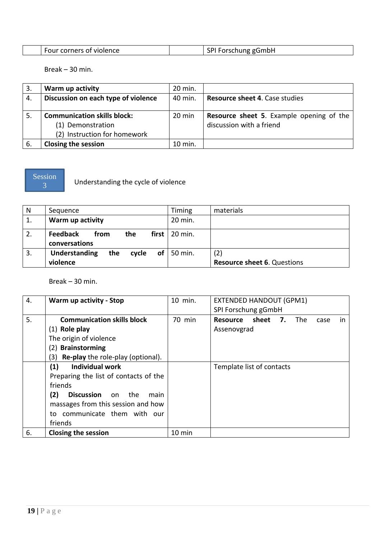| Four corners of violence | <b>SPIF</b><br>i Forschung gGmbH |
|--------------------------|----------------------------------|

Break – 30 min.

| 3.  | Warm up activity                    | 20 min.            |                                                 |
|-----|-------------------------------------|--------------------|-------------------------------------------------|
| 4.  | Discussion on each type of violence | 40 min.            | <b>Resource sheet 4. Case studies</b>           |
|     |                                     |                    |                                                 |
| 5.  | <b>Communication skills block:</b>  | $20 \text{ min}$   | <b>Resource sheet 5.</b> Example opening of the |
|     | (1) Demonstration                   |                    | discussion with a friend                        |
|     | (2) Instruction for homework        |                    |                                                 |
| -6. | <b>Closing the session</b>          | $10 \text{ min}$ . |                                                 |



Understanding the cycle of violence

| N  | Sequence                                                | Timing                | materials                          |
|----|---------------------------------------------------------|-----------------------|------------------------------------|
| 1. | Warm up activity                                        | 20 min.               |                                    |
| 2. | <b>Feedback</b><br>from<br>the<br>conversations         | first $\vert$ 20 min. |                                    |
| 3. | <b>Understanding</b><br>cycle of $\vert$ 50 min.<br>the |                       | (2)                                |
|    | violence                                                |                       | <b>Resource sheet 6. Questions</b> |

Break – 30 min.

| 4. | Warm up activity - Stop                                       | 10 min. | <b>EXTENDED HANDOUT (GPM1)</b>                       |
|----|---------------------------------------------------------------|---------|------------------------------------------------------|
|    |                                                               |         | SPI Forschung gGmbH                                  |
| 5. | <b>Communication skills block</b>                             | 70 min  | sheet<br>The<br>7.<br><b>Resource</b><br>case<br>in. |
|    | $(1)$ Role play                                               |         | Assenovgrad                                          |
|    | The origin of violence                                        |         |                                                      |
|    | <b>Brainstorming</b><br>(2)                                   |         |                                                      |
|    | <b>Re-play</b> the role-play (optional).<br>$\left( 3\right)$ |         |                                                      |
|    | <b>Individual work</b><br>(1)                                 |         | Template list of contacts                            |
|    | Preparing the list of contacts of the                         |         |                                                      |
|    | friends                                                       |         |                                                      |
|    | (2)<br><b>Discussion</b> on the<br>main                       |         |                                                      |
|    | massages from this session and how                            |         |                                                      |
|    | communicate them with our<br>to                               |         |                                                      |
|    | friends                                                       |         |                                                      |
| 6. | <b>Closing the session</b>                                    | 10 min  |                                                      |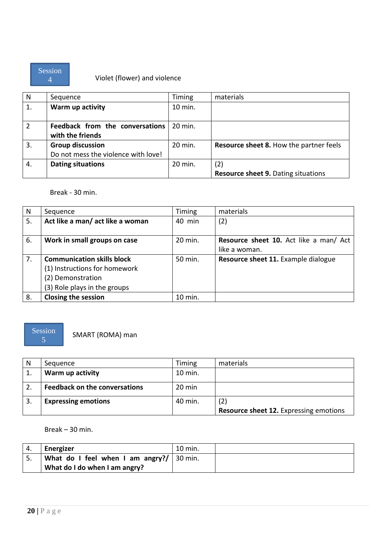

# Violet (flower) and violence

| N              | Sequence                            | Timing             | materials                                      |
|----------------|-------------------------------------|--------------------|------------------------------------------------|
| 1.             | Warm up activity                    | 10 min.            |                                                |
|                |                                     |                    |                                                |
| $\overline{2}$ | Feedback from the conversations     | $20 \text{ min}$ . |                                                |
|                | with the friends                    |                    |                                                |
| 3.             | <b>Group discussion</b>             | 20 min.            | <b>Resource sheet 8. How the partner feels</b> |
|                | Do not mess the violence with love! |                    |                                                |
| 4.             | <b>Dating situations</b>            | 20 min.            | (2)                                            |
|                |                                     |                    | <b>Resource sheet 9. Dating situations</b>     |

### Break - 30 min.

| N  | Sequence                          | Timing  | materials                              |
|----|-----------------------------------|---------|----------------------------------------|
| 5. | Act like a man/ act like a woman  | 40 min  | (2)                                    |
|    |                                   |         |                                        |
| 6. | Work in small groups on case      | 20 min. | Resource sheet 10. Act like a man/ Act |
|    |                                   |         | like a woman.                          |
| 7. | <b>Communication skills block</b> | 50 min. | Resource sheet 11. Example dialogue    |
|    | (1) Instructions for homework     |         |                                        |
|    | (2) Demonstration                 |         |                                        |
|    | (3) Role plays in the groups      |         |                                        |
| 8. | <b>Closing the session</b>        | 10 min. |                                        |

# Session

SMART (ROMA) man

| N | Sequence                             | <b>Timing</b>    | materials                                     |
|---|--------------------------------------|------------------|-----------------------------------------------|
|   | Warm up activity                     | 10 min.          |                                               |
|   | <b>Feedback on the conversations</b> | $20 \text{ min}$ |                                               |
|   | <b>Expressing emotions</b>           | 40 min.          | (2)                                           |
|   |                                      |                  | <b>Resource sheet 12. Expressing emotions</b> |

Break – 30 min.

| 4.       | Energizer                                           | 10 min. |  |
|----------|-----------------------------------------------------|---------|--|
| <u>.</u> | What do I feel when I am angry?/ $ 30 \text{ min.}$ |         |  |
|          | What do I do when I am angry?                       |         |  |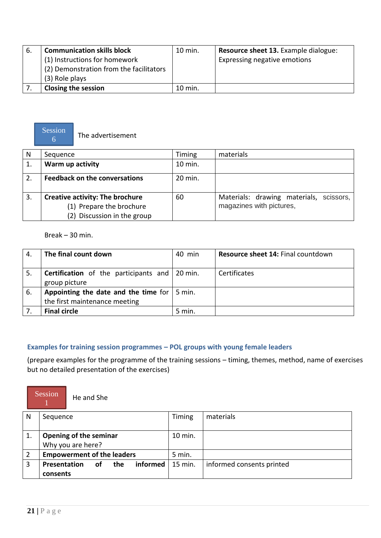| -6. | <b>Communication skills block</b><br>(1) Instructions for homework<br>(2) Demonstration from the facilitators<br>(3) Role plays | $10$ min. | Resource sheet 13. Example dialogue:<br>Expressing negative emotions |
|-----|---------------------------------------------------------------------------------------------------------------------------------|-----------|----------------------------------------------------------------------|
|     | <b>Closing the session</b>                                                                                                      | $10$ min. |                                                                      |



The advertisement

| N  | Sequence                                                                                          | <b>Timing</b> | materials                                                           |
|----|---------------------------------------------------------------------------------------------------|---------------|---------------------------------------------------------------------|
|    | Warm up activity                                                                                  | 10 min.       |                                                                     |
|    | <b>Feedback on the conversations</b>                                                              | 20 min.       |                                                                     |
| 3. | <b>Creative activity: The brochure</b><br>(1) Prepare the brochure<br>(2) Discussion in the group | 60            | Materials: drawing materials, scissors,<br>magazines with pictures, |

Break – 30 min.

| 4.  | The final count down                                                                 | 40 min   | Resource sheet 14: Final countdown |
|-----|--------------------------------------------------------------------------------------|----------|------------------------------------|
| 5.  | <b>Certification</b> of the participants and 20 min.<br>group picture                |          | Certificates                       |
| -6. | Appointing the date and the time for $\vert$ 5 min.<br>the first maintenance meeting |          |                                    |
|     | <b>Final circle</b>                                                                  | $5$ min. |                                    |

# <span id="page-20-0"></span>**Examples for training session programmes – POL groups with young female leaders**

(prepare examples for the programme of the training sessions – timing, themes, method, name of exercises but no detailed presentation of the exercises)



He and She

| -N | Sequence                              | Timing    | materials                 |
|----|---------------------------------------|-----------|---------------------------|
|    |                                       |           |                           |
|    | <b>Opening of the seminar</b>         | $10$ min. |                           |
|    | Why you are here?                     |           |                           |
|    | <b>Empowerment of the leaders</b>     | 5 min.    |                           |
|    | informed<br>Presentation<br>the<br>οf | 15 min.   | informed consents printed |
|    | consents                              |           |                           |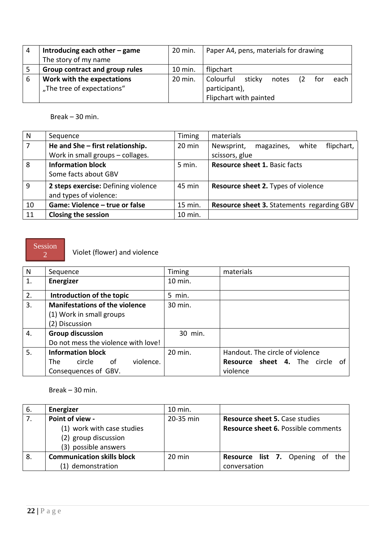| 4 | Introducing each other $-$ game | 20 min. | Paper A4, pens, materials for drawing       |
|---|---------------------------------|---------|---------------------------------------------|
|   | The story of my name            |         |                                             |
|   | Group contract and group rules  | 10 min. | flipchart                                   |
| 6 | Work with the expectations      | 20 min. | Colourful<br>sticky<br>each<br>notes<br>tor |
|   | "The tree of expectations"      |         | participant),                               |
|   |                                 |         | Flipchart with painted                      |

Break – 30 min.

| N  | Sequence                            | Timing  | materials                                       |
|----|-------------------------------------|---------|-------------------------------------------------|
|    | He and She - first relationship.    | 20 min  | Newsprint,<br>white<br>flipchart,<br>magazines, |
|    | Work in small groups - collages.    |         | scissors, glue                                  |
| 8  | <b>Information block</b>            | 5 min.  | <b>Resource sheet 1. Basic facts</b>            |
|    | Some facts about GBV                |         |                                                 |
| 9  | 2 steps exercise: Defining violence | 45 min  | Resource sheet 2. Types of violence             |
|    | and types of violence:              |         |                                                 |
| 10 | Game: Violence - true or false      | 15 min. | Resource sheet 3. Statements regarding GBV      |
| 11 | <b>Closing the session</b>          | 10 min. |                                                 |

#### Session 2

Violet (flower) and violence

| N  | Sequence                              | Timing  | materials                                 |
|----|---------------------------------------|---------|-------------------------------------------|
| 1. | Energizer                             | 10 min. |                                           |
| 2. | Introduction of the topic             | 5 min.  |                                           |
| 3. | <b>Manifestations of the violence</b> | 30 min. |                                           |
|    | (1) Work in small groups              |         |                                           |
|    | (2) Discussion                        |         |                                           |
| 4. | <b>Group discussion</b>               | 30 min. |                                           |
|    | Do not mess the violence with love!   |         |                                           |
| 5. | <b>Information block</b>              | 20 min. | Handout. The circle of violence           |
|    | violence.<br>0f<br>circle<br>The .    |         | <b>Resource sheet 4.</b> The circle<br>of |
|    | Consequences of GBV.                  |         | violence                                  |

Break – 30 min.

| 6. | Energizer                         | 10 min.   |                                            |
|----|-----------------------------------|-----------|--------------------------------------------|
| 7. | Point of view -                   | 20-35 min | <b>Resource sheet 5. Case studies</b>      |
|    | (1) work with case studies        |           | <b>Resource sheet 6. Possible comments</b> |
|    | (2) group discussion              |           |                                            |
|    | (3) possible answers              |           |                                            |
| 8. | <b>Communication skills block</b> | $20$ min  | <b>Resource list 7.</b> Opening of the     |
|    | (1) demonstration                 |           | conversation                               |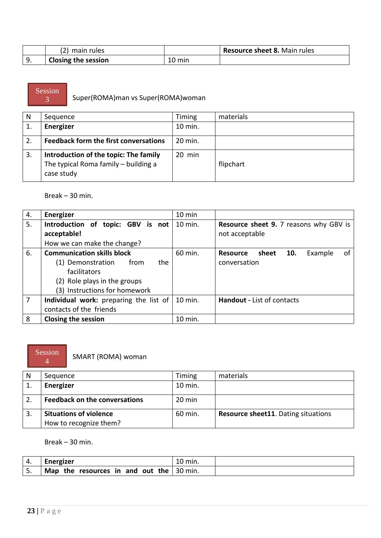| (2) main rules             |        | Resource sheet 8. Main rules |
|----------------------------|--------|------------------------------|
| <b>Closing the session</b> | 10 min |                              |

Session

Super(ROMA)man vs Super(ROMA)woman

| N  | Sequence                                                                                    | Timing   | materials |
|----|---------------------------------------------------------------------------------------------|----------|-----------|
| 1. | Energizer                                                                                   | 10 min.  |           |
|    | <b>Feedback form the first conversations</b>                                                | 20 min.  |           |
| 3. | Introduction of the topic: The family<br>The typical Roma family - building a<br>case study | $20$ min | flipchart |

#### Break – 30 min.

| 4.             | Energizer                                        | 10 min  |                                                                 |
|----------------|--------------------------------------------------|---------|-----------------------------------------------------------------|
| 5.             | Introduction of topic: GBV is not<br>acceptable! | 10 min. | <b>Resource sheet 9. 7 reasons why GBV is</b><br>not acceptable |
|                | How we can make the change?                      |         |                                                                 |
| 6.             | <b>Communication skills block</b>                | 60 min. | of<br>sheet<br>10.<br>Example<br><b>Resource</b>                |
|                | the<br>(1) Demonstration<br>from                 |         | conversation                                                    |
|                | facilitators                                     |         |                                                                 |
|                | (2) Role plays in the groups                     |         |                                                                 |
|                | (3) Instructions for homework                    |         |                                                                 |
| $\overline{7}$ | Individual work: preparing the list of           | 10 min. | Handout - List of contacts                                      |
|                | contacts of the friends                          |         |                                                                 |
| 8              | <b>Closing the session</b>                       | 10 min. |                                                                 |

#### Session 4

SMART (ROMA) woman

| N | Sequence                             | Timing  | materials                                  |
|---|--------------------------------------|---------|--------------------------------------------|
|   | Energizer                            | 10 min. |                                            |
|   | <b>Feedback on the conversations</b> | 20 min  |                                            |
|   | <b>Situations of violence</b>        | 60 min. | <b>Resource sheet11.</b> Dating situations |
|   | How to recognize them?               |         |                                            |

Break – 30 min.

| 4.       | Energizer                                            | min. |
|----------|------------------------------------------------------|------|
| <u>.</u> | Map the resources in and out the $\frac{1}{20}$ min. |      |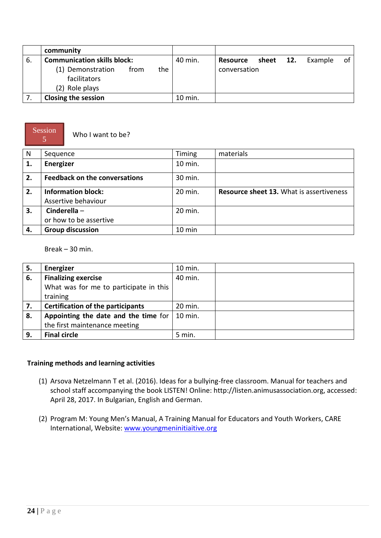|     | community                                        |           |                                                  |
|-----|--------------------------------------------------|-----------|--------------------------------------------------|
| -6. | <b>Communication skills block:</b>               | 40 min.   | of<br>12.<br>sheet<br>Example<br><b>Resource</b> |
|     | (1) Demonstration<br>the<br>from<br>facilitators |           | conversation                                     |
|     | (2) Role plays                                   |           |                                                  |
|     | <b>Closing the session</b>                       | $10$ min. |                                                  |



Who I want to be?

| N  | Sequence                             | Timing           | materials                                       |
|----|--------------------------------------|------------------|-------------------------------------------------|
| 1. | Energizer                            | 10 min.          |                                                 |
| 2. | <b>Feedback on the conversations</b> | 30 min.          |                                                 |
| 2. | <b>Information block:</b>            | 20 min.          | <b>Resource sheet 13. What is assertiveness</b> |
|    | Assertive behaviour                  |                  |                                                 |
| 3. | Cinderella $-$                       | 20 min.          |                                                 |
|    | or how to be assertive               |                  |                                                 |
| 4. | <b>Group discussion</b>              | $10 \text{ min}$ |                                                 |

Break – 30 min.

| 5. | Energizer                                | $10$ min. |  |
|----|------------------------------------------|-----------|--|
| 6. | <b>Finalizing exercise</b>               | 40 min.   |  |
|    | What was for me to participate in this   |           |  |
|    | training                                 |           |  |
| 7. | <b>Certification of the participants</b> | 20 min.   |  |
| 8. | Appointing the date and the time for     | 10 min.   |  |
|    | the first maintenance meeting            |           |  |
| 9. | <b>Final circle</b>                      | 5 min.    |  |

# **Training methods and learning activities**

- (1) Arsova Netzelmann T et al. (2016). Ideas for a bullying-free classroom. Manual for teachers and school staff accompanying the book LISTEN! Online: http://listen.animusassociation.org, accessed: April 28, 2017. In Bulgarian, English and German.
- (2) Program M: Young Men's Manual, A Training Manual for Educators and Youth Workers, CARE International, Website: [www.youngmeninitiaitive.org](http://www.youngmeninitiaitive.org/)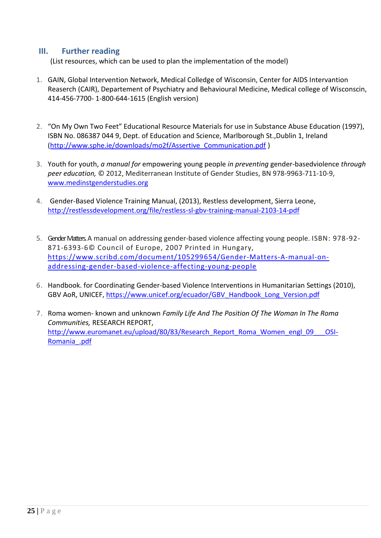# <span id="page-24-0"></span>**III. Further reading**

(List resources, which can be used to plan the implementation of the model)

- 1. GAIN, Global Intervention Network, Medical Colledge of Wisconsin, Center for AIDS Intervantion Reaserch (CAIR), Departement of Psychiatry and Behavioural Medicine, Medical college of Wisconscin, 414-456-7700- 1-800-644-1615 (English version)
- 2. "On My Own Two Feet" Educational Resource Materials for use in Substance Abuse Education (1997), ISBN No. 086387 044 9, Dept. of Education and Science, Marlborough St.,Dublin 1, Ireland [\(http://www.sphe.ie/downloads/mo2f/Assertive\\_Communication.pdf](http://www.sphe.ie/downloads/mo2f/Assertive_Communication.pdf) )
- 3. Youth for youth, *a manual for* empowering young people *in preventing* gender-basedviolence *through peer education,* © 2012, Mediterranean Institute of Gender Studies, BN 978-9963-711-10-9, [www.medinstgenderstudies.org](http://www.medinstgenderstudies.org/)
- 4. Gender-Based Violence Training Manual, (2013), Restless development, Sierra Leone, <http://restlessdevelopment.org/file/restless-sl-gbv-training-manual-2103-14-pdf>
- 5. Gender Matters. A manual on addressing gender-based violence affecting young people. ISBN: 978-92- 871-6393-6© Council of Europe, 2007 Printed in Hungary, [https://www.scribd.com/document/105299654/Gender-Matters-A-manual-on](https://www.scribd.com/document/105299654/Gender-Matters-A-manual-on-addressing-gender-based-violence-affecting-young-people)[addressing-gender-based-violence-affecting-young-people](https://www.scribd.com/document/105299654/Gender-Matters-A-manual-on-addressing-gender-based-violence-affecting-young-people)
- 6. Handbook. for Coordinating Gender-based Violence Interventions in Humanitarian Settings (2010), GBV AoR, UNICEF, [https://www.unicef.org/ecuador/GBV\\_Handbook\\_Long\\_Version.pdf](https://www.unicef.org/ecuador/GBV_Handbook_Long_Version.pdf)
- 7. Roma women‐ known and unknown *Family Life And The Position Of The Woman In The Roma Communities,* RESEARCH REPORT, [http://www.euromanet.eu/upload/80/83/Research\\_Report\\_Roma\\_Women\\_engl\\_09\\_\\_\\_OSI-](http://www.euromanet.eu/upload/80/83/Research_Report_Roma_Women_engl_09___OSI-Romania_.pdf)[Romania\\_.pdf](http://www.euromanet.eu/upload/80/83/Research_Report_Roma_Women_engl_09___OSI-Romania_.pdf)